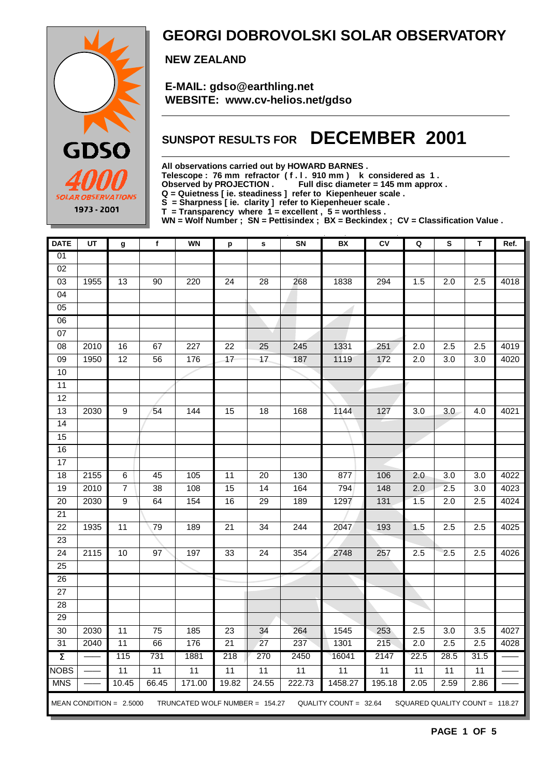

### **GEORGI DOBROVOLSKI SOLAR OBSERVATORY**

 **NEW ZEALAND**

 **E-MAIL: gdso@earthling.net WEBSITE: www.cv-helios.net/gdso**

## **SUNSPOT RESULTS FOR DECEMBER 2001**

**All observations carried out by HOWARD BARNES .**

**Telescope : 76 mm refractor ( f . l . 910 mm ) k considered as 1 .**

Observed by PROJECTION . Full disc diameter = 145 mm approx .

**Q = Quietness [ ie. steadiness ] refer to Kiepenheuer scale .**

**S = Sharpness [ ie. clarity ] refer to Kiepenheuer scale .**

**T = Transparency where 1 = excellent , 5 = worthless .**

**WN = Wolf Number ; SN = Pettisindex ; BX = Beckindex ; CV = Classification Value .**

| <b>DATE</b>         | UT   | g                         | $\mathbf{f}$    | <b>WN</b>                      | p                | s               | SN     | BX                      | c <sub>V</sub> | $\mathsf Q$                    | S                | T                | Ref. |
|---------------------|------|---------------------------|-----------------|--------------------------------|------------------|-----------------|--------|-------------------------|----------------|--------------------------------|------------------|------------------|------|
| 01                  |      |                           |                 |                                |                  |                 |        |                         |                |                                |                  |                  |      |
| $\overline{02}$     |      |                           |                 |                                |                  |                 |        |                         |                |                                |                  |                  |      |
| 03                  | 1955 | 13                        | 90              | 220                            | 24               | 28              | 268    | 1838                    | 294            | 1.5                            | 2.0              | 2.5              | 4018 |
| $\overline{04}$     |      |                           |                 |                                |                  |                 |        |                         |                |                                |                  |                  |      |
| $\overline{05}$     |      |                           |                 |                                |                  |                 |        |                         |                |                                |                  |                  |      |
| $\overline{06}$     |      |                           |                 |                                |                  |                 |        |                         |                |                                |                  |                  |      |
| $\overline{07}$     |      |                           |                 |                                |                  |                 |        |                         |                |                                |                  |                  |      |
| $\overline{08}$     | 2010 | 16                        | 67              | 227                            | $\overline{22}$  | $\overline{25}$ | 245    | 1331                    | 251            | $\overline{2.0}$               | $\overline{2.5}$ | 2.5              | 4019 |
| $\overline{09}$     | 1950 | $\overline{12}$           | 56              | 176                            | 17               | $\overline{17}$ | 187    | 1119                    | 172            | $\overline{2.0}$               | 3.0              | $\overline{3.0}$ | 4020 |
| 10                  |      |                           |                 |                                |                  |                 |        |                         |                |                                |                  |                  |      |
| 11                  |      |                           |                 |                                |                  |                 |        |                         |                |                                |                  |                  |      |
| 12                  |      |                           |                 |                                |                  |                 |        |                         |                |                                |                  |                  |      |
| $\overline{13}$     | 2030 | 9                         | 54              | 144                            | 15               | $\overline{18}$ | 168    | 1144                    | 127            | 3.0                            | $\overline{3.0}$ | 4.0              | 4021 |
| 14                  |      |                           |                 |                                |                  |                 |        |                         |                |                                |                  |                  |      |
| 15                  |      |                           |                 |                                |                  |                 |        |                         |                |                                |                  |                  |      |
| 16                  |      |                           |                 |                                |                  |                 |        |                         |                |                                |                  |                  |      |
| 17                  |      |                           |                 |                                |                  |                 |        |                         |                |                                |                  |                  |      |
| $\overline{18}$     | 2155 | 6                         | 45              | 105                            | $\overline{11}$  | $\overline{20}$ | 130    | 877                     | 106            | 2.0                            | 3.0              | 3.0              | 4022 |
| 19                  | 2010 | $\overline{7}$            | 38              | 108                            | 15               | 14              | 164    | 794                     | 148            | 2.0                            | 2.5              | 3.0              | 4023 |
| 20                  | 2030 | 9                         | 64              | 154                            | 16               | 29              | 189    | 1297                    | 131            | 1.5                            | 2.0              | 2.5              | 4024 |
| $\overline{21}$     |      |                           |                 |                                |                  |                 |        |                         |                |                                |                  |                  |      |
| 22                  | 1935 | 11                        | 79              | 189                            | 21               | 34              | 244    | 2047                    | 193            | 1.5                            | 2.5              | 2.5              | 4025 |
| $\overline{23}$     |      |                           |                 |                                |                  |                 |        |                         |                |                                |                  |                  |      |
| $\overline{24}$     | 2115 | 10                        | $\overline{97}$ | 197                            | 33               | $\overline{24}$ | 354    | 2748                    | 257            | 2.5                            | 2.5              | 2.5              | 4026 |
| 25                  |      |                           |                 |                                |                  |                 |        |                         |                |                                |                  |                  |      |
| $\overline{26}$     |      |                           |                 |                                |                  |                 |        |                         |                |                                |                  |                  |      |
| $\overline{27}$     |      |                           |                 |                                |                  |                 |        |                         |                |                                |                  |                  |      |
| 28                  |      |                           |                 |                                |                  |                 |        |                         |                |                                |                  |                  |      |
| 29                  |      |                           |                 |                                |                  |                 |        |                         |                |                                |                  |                  |      |
| 30                  | 2030 | 11                        | $\overline{75}$ | 185                            | 23               | 34              | 264    | 1545                    | 253            | 2.5                            | 3.0              | 3.5              | 4027 |
| 31                  | 2040 | 11                        | 66              | 176                            | 21               | 27              | 237    | 1301                    | 215            | 2.0                            | 2.5              | 2.5              | 4028 |
| $\overline{\Sigma}$ |      | 115                       | 731             | 1881                           | $\overline{218}$ | 270             | 2450   | 16041                   | 2147           | 22.5                           | 28.5             | 31.5             |      |
| <b>NOBS</b>         |      | 11                        | 11              | 11                             | 11               | 11              | 11     | 11                      | 11             | 11                             | 11               | 11               |      |
| <b>MNS</b>          |      | 10.45                     | 66.45           | 171.00                         | 19.82            | 24.55           | 222.73 | 1458.27                 | 195.18         | 2.05                           | 2.59             | 2.86             |      |
|                     |      | MEAN CONDITION = $2.5000$ |                 | TRUNCATED WOLF NUMBER = 154.27 |                  |                 |        | QUALITY COUNT = $32.64$ |                | SQUARED QUALITY COUNT = 118.27 |                  |                  |      |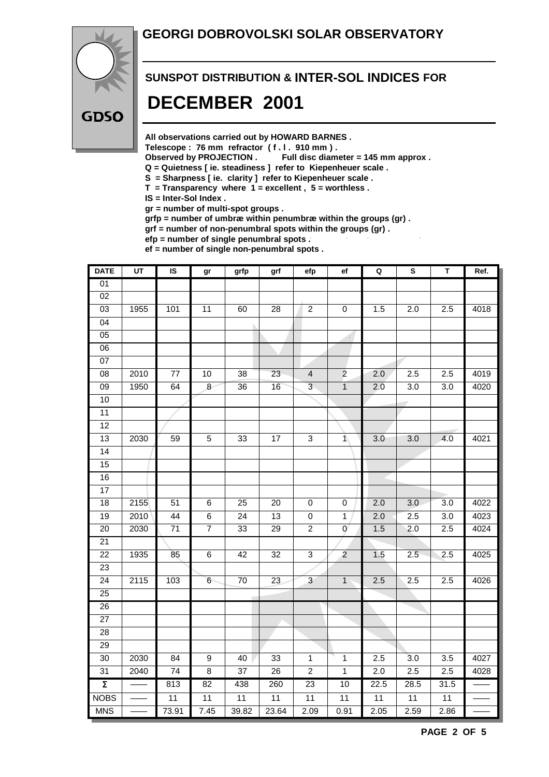#### **GEORGI DOBROVOLSKI SOLAR OBSERVATORY**



## **SUNSPOT DISTRIBUTION & INTER-SOL INDICES FOR DECEMBER 2001**

**All observations carried out by HOWARD BARNES .**

Telescope : 76 mm refractor (f. l. 910 mm).<br>Observed by PROJECTION . Full disc diam

Full disc diameter = 145 mm approx .

- **Q = Quietness [ ie. steadiness ] refer to Kiepenheuer scale .**
- **S = Sharpness [ ie. clarity ] refer to Kiepenheuer scale .**
- **T = Transparency where 1 = excellent , 5 = worthless .**
- **IS = Inter-Sol Index .**

**gr = number of multi-spot groups .**

**grfp = number of umbræ within penumbræ within the groups (gr) .**

**grf = number of non-penumbral spots within the groups (gr) .**

**efp = number of single penumbral spots .**

**ef = number of single non-penumbral spots .**

| <b>DATE</b>         | $\overline{UT}$ | $\overline{\mathsf{s}}$ | gr               | grfp            | grf             | efp                       | ef                          | $\overline{\mathbf{Q}}$ | $\overline{\mathbf{s}}$ | $\overline{\mathsf{r}}$ | Ref. |
|---------------------|-----------------|-------------------------|------------------|-----------------|-----------------|---------------------------|-----------------------------|-------------------------|-------------------------|-------------------------|------|
| $\overline{01}$     |                 |                         |                  |                 |                 |                           |                             |                         |                         |                         |      |
| $\overline{02}$     |                 |                         |                  |                 |                 |                           |                             |                         |                         |                         |      |
| $\overline{03}$     | 1955            | 101                     | $\overline{11}$  | 60              | $\overline{28}$ | $\overline{2}$            | $\pmb{0}$                   | 1.5                     | 2.0                     | 2.5                     | 4018 |
| 04                  |                 |                         |                  |                 |                 |                           |                             |                         |                         |                         |      |
| $\overline{05}$     |                 |                         |                  |                 |                 |                           | $\mathcal{L}_{\mathcal{A}}$ |                         |                         |                         |      |
| $\overline{06}$     |                 |                         |                  |                 |                 |                           |                             |                         |                         |                         |      |
| 07                  |                 |                         |                  |                 |                 |                           |                             |                         |                         |                         |      |
| 08                  | 2010            | 77                      | $10$             | 38              | 23              | $\overline{4}$            | $\overline{c}$              | 2.0                     | 2.5                     | 2.5                     | 4019 |
| $\overline{09}$     | 1950            | 64                      | 8                | $\overline{36}$ | 16              | $\overline{3}$            | $\overline{1}$              | 2.0                     | $\overline{3.0}$        | 3.0                     | 4020 |
| 10                  |                 |                         |                  |                 |                 |                           |                             |                         |                         |                         |      |
| $\overline{11}$     |                 |                         |                  |                 |                 |                           |                             |                         |                         |                         |      |
| 12                  |                 |                         |                  |                 |                 |                           |                             |                         |                         |                         |      |
| $\overline{13}$     | 2030            | 59                      | $\overline{5}$   | 33              | $\overline{17}$ | 3                         | $\ddot{\phantom{1}}$        | 3.0                     | 3.0                     | 4.0                     | 4021 |
| $\overline{14}$     |                 |                         |                  |                 |                 |                           |                             |                         |                         |                         |      |
| 15                  |                 |                         |                  |                 |                 |                           |                             |                         |                         |                         |      |
| 16                  |                 |                         |                  |                 |                 |                           |                             |                         |                         |                         |      |
| 17                  |                 |                         |                  |                 |                 |                           |                             |                         |                         |                         |      |
| $\overline{18}$     | 2155            | 51                      | 6                | $\overline{25}$ | $\overline{20}$ | $\pmb{0}$                 | $\boldsymbol{0}$            | 2.0                     | 3.0                     | $\overline{3.0}$        | 4022 |
| 19                  | 2010            | 44                      | $\overline{6}$   | $\overline{24}$ | 13              | $\overline{0}$            | $\overline{1}$              | 2.0                     | 2.5                     | $\overline{3.0}$        | 4023 |
| $\overline{20}$     | 2030            | 71                      | $\overline{7}$   | 33              | $\overline{29}$ | $\boldsymbol{2}$          | $\mathbf 0$                 | 1.5                     | 2.0                     | 2.5                     | 4024 |
| $\overline{21}$     |                 |                         |                  |                 |                 |                           |                             |                         |                         |                         |      |
| 22                  | 1935            | 85                      | $\,6\,$          | 42              | 32              | $\ensuremath{\mathsf{3}}$ | $\overline{c}$              | 1.5                     | 2.5                     | 2.5                     | 4025 |
| 23                  |                 |                         |                  |                 |                 |                           |                             |                         |                         |                         |      |
| $\overline{24}$     | 2115            | 103                     | $6 \overline{6}$ | $\overline{70}$ | $\overline{23}$ | $\overline{3}$            | $\overline{1}$              | 2.5                     | 2.5                     | 2.5                     | 4026 |
| 25                  |                 |                         |                  |                 |                 |                           |                             |                         |                         |                         |      |
| $\overline{26}$     |                 |                         |                  |                 |                 |                           |                             |                         |                         |                         |      |
| $\overline{27}$     |                 |                         |                  |                 |                 |                           |                             |                         |                         |                         |      |
| $\overline{28}$     |                 |                         |                  |                 |                 |                           |                             |                         |                         |                         |      |
| 29                  |                 |                         |                  |                 |                 |                           |                             |                         |                         |                         |      |
| $\overline{30}$     | 2030            | 84                      | $\overline{9}$   | 40              | 33              | $\overline{1}$            | $\overline{1}$              | 2.5                     | $\overline{3.0}$        | 3.5                     | 4027 |
| 31                  | 2040            | $\overline{74}$         | $\overline{8}$   | 37              | $\overline{26}$ | $\overline{2}$            | $\overline{1}$              | 2.0                     | 2.5                     | 2.5                     | 4028 |
| $\overline{\Sigma}$ |                 | 813                     | $\overline{82}$  | 438             | 260             | $\overline{23}$           | 10                          | 22.5                    | 28.5                    | 31.5                    |      |
| <b>NOBS</b>         |                 | $\overline{11}$         | 11               | 11              | 11              | 11                        | $\overline{11}$             | $\overline{11}$         | 11                      | 11                      |      |
| <b>MNS</b>          |                 | 73.91                   | 7.45             | 39.82           | 23.64           | 2.09                      | 0.91                        | 2.05                    | 2.59                    | 2.86                    |      |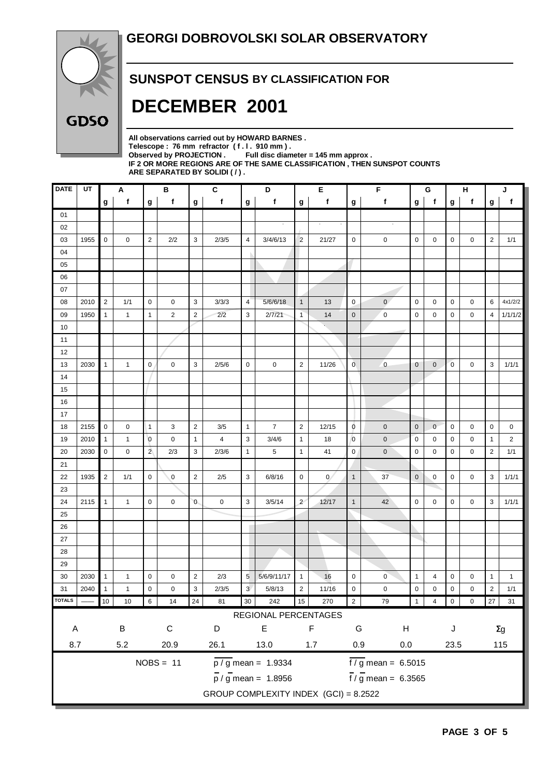

#### **SUNSPOT CENSUS BY CLASSIFICATION FOR**

## **DECEMBER 2001**

**All observations carried out by HOWARD BARNES .** Telescope : 76 mm refractor (f. l. 910 mm).<br>Observed by PROJECTION . Full disc diam Full disc diameter = 145 mm approx . **IF 2 OR MORE REGIONS ARE OF THE SAME CLASSIFICATION , THEN SUNSPOT COUNTS ARE SEPARATED BY SOLIDI ( / ) .**

| <b>DATE</b>   | UT   |                | A            |                 | $\, {\bf B}$   |                | $\mathbf{C}$   |                  | $\overline{\mathsf{D}}$               |                | E              |                | F                               |                | G            |                | н           |                  | J              |
|---------------|------|----------------|--------------|-----------------|----------------|----------------|----------------|------------------|---------------------------------------|----------------|----------------|----------------|---------------------------------|----------------|--------------|----------------|-------------|------------------|----------------|
|               |      | g              | $\mathbf f$  | g               | f              | g              | $\mathbf f$    | $\boldsymbol{g}$ | $\mathbf f$                           | $\mathbf g$    | f              | g              | f                               | g              | $\mathbf f$  | g              | $\mathbf f$ | $\boldsymbol{g}$ | f              |
| 01            |      |                |              |                 |                |                |                |                  |                                       |                |                |                |                                 |                |              |                |             |                  |                |
| 02            |      |                |              |                 |                |                |                |                  |                                       |                |                |                |                                 |                |              |                |             |                  |                |
| 03            | 1955 | 0              | 0            | $\overline{2}$  | 2/2            | 3              | 2/3/5          | 4                | 3/4/6/13                              | $\overline{2}$ | 21/27          | $\mathbf 0$    | $\mathbf 0$                     | $\mathbf 0$    | 0            | 0              | 0           | $\overline{2}$   | 1/1            |
| 04            |      |                |              |                 |                |                |                |                  |                                       |                |                |                |                                 |                |              |                |             |                  |                |
| 05            |      |                |              |                 |                |                |                |                  |                                       |                |                |                |                                 |                |              |                |             |                  |                |
| 06            |      |                |              |                 |                |                |                |                  |                                       |                |                |                |                                 |                |              |                |             |                  |                |
| 07            |      |                |              |                 |                |                |                |                  |                                       |                |                |                |                                 |                |              |                |             |                  |                |
| 08            | 2010 | $\overline{2}$ | 1/1          | 0               | 0              | 3              | 3/3/3          | 4                | 5/6/6/18                              | $\mathbf{1}$   | 13             | $\mathbf 0$    | $\mathbf{0}$                    | 0              | 0            | 0              | 0           | 6                | 4x1/2/2        |
| 09            | 1950 | $\mathbf{1}$   | $\mathbf{1}$ | $\mathbf{1}$    | $\overline{2}$ | $\sqrt{2}$     | 2/2            | 3                | 2/7/21                                | $\mathbf{1}$   | 14             | $\mathbf 0$    | $\mathbf 0$                     | $\mathbf 0$    | 0            | 0              | 0           | $\overline{4}$   | 1/1/1/2        |
| 10            |      |                |              |                 |                |                |                |                  |                                       |                |                |                |                                 |                |              |                |             |                  |                |
| 11            |      |                |              |                 |                |                |                |                  |                                       |                |                |                |                                 |                |              |                |             |                  |                |
| 12            |      |                |              |                 |                |                |                |                  |                                       |                |                |                |                                 |                |              |                |             |                  |                |
| 13            | 2030 | $\mathbf{1}$   | $\mathbf{1}$ | 0               | $\mathbf 0$    | 3              | 2/5/6          | $\pmb{0}$        | 0                                     | $\overline{2}$ | 11/26          | $\mathbf 0$    | $\overline{0}$                  | $\mathbf 0$    | $\mathbf 0$  | $\overline{0}$ | 0           | 3                | 1/1/1          |
| 14            |      |                |              |                 |                |                |                |                  |                                       |                |                |                |                                 |                |              |                |             |                  |                |
| 15            |      |                |              |                 |                |                |                |                  |                                       |                |                |                |                                 |                |              |                |             |                  |                |
| 16            |      |                |              |                 |                |                |                |                  |                                       |                |                |                |                                 |                |              |                |             |                  |                |
| 17            |      |                |              |                 |                |                |                |                  |                                       |                |                |                |                                 |                |              |                |             |                  |                |
| 18            | 2155 | $\pmb{0}$      | 0            | $\vert$ 1       | 3              | $\overline{2}$ | 3/5            | $\mathbf{1}$     | $\boldsymbol{7}$                      | $\overline{2}$ | 12/15          | 0              | $\pmb{0}$                       | $\mathbf 0$    | $\mathbf{0}$ | $\mathbf 0$    | 0           | $\mathbf 0$      | 0              |
| 19            | 2010 | $\mathbf{1}$   | $\mathbf{1}$ | $\overline{0}$  | $\mathbf 0$    | $\mathbf{1}$   | $\overline{4}$ | 3                | 3/4/6                                 | $\mathbf{1}$   | 18             | $\mathbf{0}$   | $\pmb{0}$                       | 0              | 0            | 0              | 0           | $\mathbf{1}$     | $\overline{2}$ |
| 20            | 2030 | 0              | 0            | $\overline{2}$  | 2/3            | 3              | 2/3/6          | $\mathbf{1}$     | 5                                     | $\mathbf{1}$   | 41             | $\pmb{0}$      | $\pmb{0}$                       | $\mathbf 0$    | 0            | 0              | 0           | $\overline{2}$   | 1/1            |
| 21            |      |                |              |                 |                |                |                |                  |                                       |                |                |                |                                 |                |              |                |             |                  |                |
| 22            | 1935 | $\overline{2}$ | 1/1          | $\mathbf 0$     | $\mathbf 0$    | $\overline{2}$ | 2/5            | 3                | 6/8/16                                | 0              | $\overline{0}$ | $\mathbf{1}$   | 37                              | $\mathbf 0$    | $\mathbf 0$  | 0              | 0           | 3                | 1/1/1          |
| 23            |      |                |              |                 |                |                |                |                  |                                       |                |                |                |                                 |                |              |                |             |                  |                |
| 24            | 2115 | $\mathbf{1}$   | $\mathbf{1}$ | $\mathbf 0$     | $\mathbf 0$    | $\mathbf{0}$   | $\pmb{0}$      | 3                | 3/5/14                                | $\overline{2}$ | 12/17          | $\mathbf{1}$   | 42                              | $\mathbf 0$    | $\mathbf 0$  | 0              | 0           | 3                | 1/1/1          |
| 25            |      |                |              |                 |                |                |                |                  |                                       |                |                |                |                                 |                |              |                |             |                  |                |
| 26            |      |                |              |                 |                |                |                |                  |                                       |                |                |                |                                 |                |              |                |             |                  |                |
| 27            |      |                |              |                 |                |                |                |                  |                                       |                |                |                |                                 |                |              |                |             |                  |                |
| 28            |      |                |              |                 |                |                |                |                  |                                       |                |                |                |                                 |                |              |                |             |                  |                |
| 29            |      |                |              |                 |                |                |                |                  |                                       |                |                |                |                                 |                |              |                |             |                  |                |
| 30            | 2030 | $\mathbf{1}$   | $\mathbf{1}$ | $\pmb{0}$       | 0              | $\overline{2}$ | 2/3            | 5                | 5/6/9/11/17                           | $\mathbf{1}$   | 16             | $\pmb{0}$      | $\pmb{0}$                       | $\mathbf{1}$   | 4            | 0              | 0           | $\mathbf{1}$     | $\mathbf{1}$   |
| 31            | 2040 | $\mathbf{1}$   | $\mathbf{1}$ | $\mathbf 0$     | 0              | 3              | 2/3/5          | $\mathbf{3}$     | 5/8/13                                | $\overline{2}$ | 11/16          | $\pmb{0}$      | $\pmb{0}$                       | 0              | $\mathbf 0$  | 0              | 0           | $\overline{2}$   | 1/1            |
| <b>TOTALS</b> |      | 10             | 10           | $6\overline{6}$ | 14             | 24             | 81             | 30 <sub>o</sub>  | 242                                   | 15             | 270            | $\overline{2}$ | 79                              | $\overline{1}$ | $4\quad 0$   |                | $\pmb{0}$   |                  | 27 31          |
|               |      |                |              |                 |                |                |                |                  | REGIONAL PERCENTAGES                  |                |                |                |                                 |                |              |                |             |                  |                |
| A             |      |                | $\sf B$      |                 | $\mathsf C$    |                | $\mathsf D$    |                  | E                                     |                | F              | G              | H                               |                |              | J              |             |                  | $\Sigma g$     |
| 8.7           |      |                | $5.2\,$      |                 | 20.9           |                | 26.1           |                  | 13.0                                  |                | 1.7            | 0.9            | $0.0\,$                         |                |              | 23.5           |             |                  | 115            |
|               |      |                |              |                 |                |                |                |                  |                                       |                |                |                |                                 |                |              |                |             |                  |                |
|               |      |                |              |                 | $NOBS = 11$    |                |                |                  | $\frac{1}{p}$ / g mean = 1.9334       |                |                |                | $\frac{1}{6}$ / g mean = 6.5015 |                |              |                |             |                  |                |
|               |      |                |              |                 |                |                |                |                  | $\overline{p}$ / g mean = 1.8956      |                |                |                | $f / g$ mean = 6.3565           |                |              |                |             |                  |                |
|               |      |                |              |                 |                |                |                |                  | GROUP COMPLEXITY INDEX (GCI) = 8.2522 |                |                |                |                                 |                |              |                |             |                  |                |
|               |      |                |              |                 |                |                |                |                  |                                       |                |                |                |                                 |                |              |                |             |                  |                |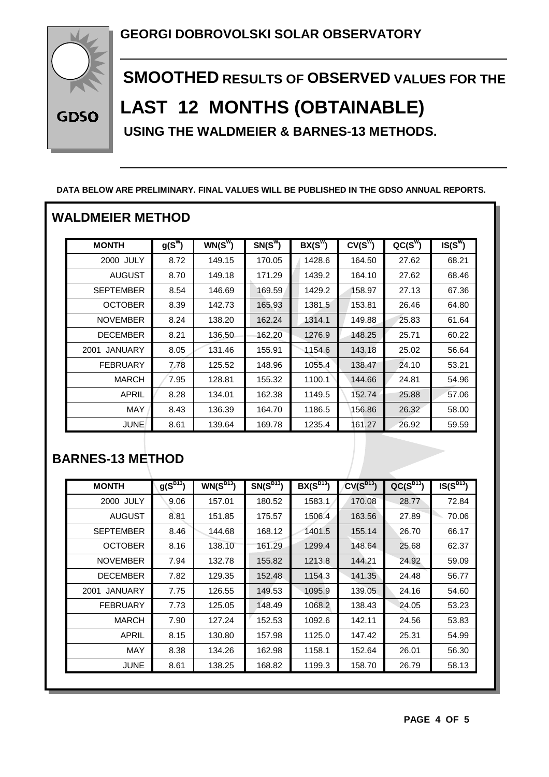

**SMOOTHED RESULTS OF OBSERVED VALUES FOR THE LAST 12 MONTHS (OBTAINABLE) USING THE WALDMEIER & BARNES-13 METHODS.**

**DATA BELOW ARE PRELIMINARY. FINAL VALUES WILL BE PUBLISHED IN THE GDSO ANNUAL REPORTS.**

| <b>MONTH</b>           | $g(S^W)$ | $WN(S^W)$ | $SN(S^W)$ | $BX(S^W)$ | $CV(S^W)$ | $QC(S^W)$ | $IS(S^W)$ |
|------------------------|----------|-----------|-----------|-----------|-----------|-----------|-----------|
| 2000 JULY              | 8.72     | 149.15    | 170.05    | 1428.6    | 164.50    | 27.62     | 68.21     |
| <b>AUGUST</b>          | 8.70     | 149.18    | 171.29    | 1439.2    | 164.10    | 27.62     | 68.46     |
| <b>SEPTEMBER</b>       | 8.54     | 146.69    | 169.59    | 1429.2    | 158.97    | 27.13     | 67.36     |
| <b>OCTOBER</b>         | 8.39     | 142.73    | 165.93    | 1381.5    | 153.81    | 26.46     | 64.80     |
| <b>NOVEMBER</b>        | 8.24     | 138.20    | 162.24    | 1314.1    | 149.88    | 25.83     | 61.64     |
| <b>DECEMBER</b>        | 8.21     | 136.50    | 162.20    | 1276.9    | 148.25    | 25.71     | 60.22     |
| <b>JANUARY</b><br>2001 | 8.05     | 131.46    | 155.91    | 1154.6    | 143.18    | 25.02     | 56.64     |
| <b>FEBRUARY</b>        | 7.78     | 125.52    | 148.96    | 1055.4    | 138.47    | 24.10     | 53.21     |
| <b>MARCH</b>           | 7.95     | 128.81    | 155.32    | 1100.1    | 144.66    | 24.81     | 54.96     |
| APRIL                  | 8.28     | 134.01    | 162.38    | 1149.5    | 152.74    | 25.88     | 57.06     |
| <b>MAY</b>             | 8.43     | 136.39    | 164.70    | 1186.5    | 156.86    | 26.32     | 58.00     |
| <b>JUNE</b>            | 8.61     | 139.64    | 169.78    | 1235.4    | 161.27    | 26.92     | 59.59     |

### **BARNES-13 METHOD**

**WALDMEIER METHOD**

| <b>MONTH</b>           | $g(S^{B13})$ | $WN(S^{B13})$ | $SN(S^{B13})$ | $BX(S^{\overline{B13}})$ | $CV(S^{B13})$ | $QC(S^{B13})$ | $IS(S^{B13})$ |
|------------------------|--------------|---------------|---------------|--------------------------|---------------|---------------|---------------|
| 2000 JULY              | 9.06         | 157.01        | 180.52        | 1583.1                   | 170.08        | 28.77         | 72.84         |
| <b>AUGUST</b>          | 8.81         | 151.85        | 175.57        | 1506.4                   | 163.56        | 27.89         | 70.06         |
| <b>SEPTEMBER</b>       | 8.46         | 144.68        | 168.12        | 1401.5                   | 155.14        | 26.70         | 66.17         |
| <b>OCTOBER</b>         | 8.16         | 138.10        | 161.29        | 1299.4                   | 148.64        | 25.68         | 62.37         |
| <b>NOVEMBER</b>        | 7.94         | 132.78        | 155.82        | 1213.8                   | 144.21        | 24.92         | 59.09         |
| <b>DECEMBER</b>        | 7.82         | 129.35        | 152.48        | 1154.3                   | 141.35        | 24.48         | 56.77         |
| <b>JANUARY</b><br>2001 | 7.75         | 126.55        | 149.53        | 1095.9                   | 139.05        | 24.16         | 54.60         |
| <b>FEBRUARY</b>        | 7.73         | 125.05        | 148.49        | 1068.2                   | 138.43        | 24.05         | 53.23         |
| <b>MARCH</b>           | 7.90         | 127.24        | 152.53        | 1092.6                   | 142.11        | 24.56         | 53.83         |
| <b>APRIL</b>           | 8.15         | 130.80        | 157.98        | 1125.0                   | 147.42        | 25.31         | 54.99         |
| MAY                    | 8.38         | 134.26        | 162.98        | 1158.1                   | 152.64        | 26.01         | 56.30         |
| <b>JUNE</b>            | 8.61         | 138.25        | 168.82        | 1199.3                   | 158.70        | 26.79         | 58.13         |